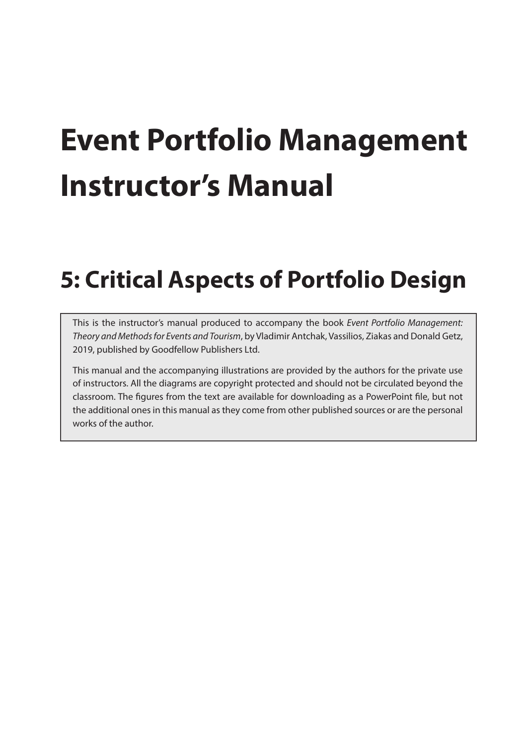# **Event Portfolio Management Instructor's Manual**

# **5: Critical Aspects of Portfolio Design**

This is the instructor's manual produced to accompany the book *Event Portfolio Management: Theory and Methods for Events and Tourism*, by Vladimir Antchak, Vassilios, Ziakas and Donald Getz, 2019, published by Goodfellow Publishers Ltd.

This manual and the accompanying illustrations are provided by the authors for the private use of instructors. All the diagrams are copyright protected and should not be circulated beyond the classroom. The figures from the text are available for downloading as a PowerPoint file, but not the additional ones in this manual as they come from other published sources or are the personal works of the author.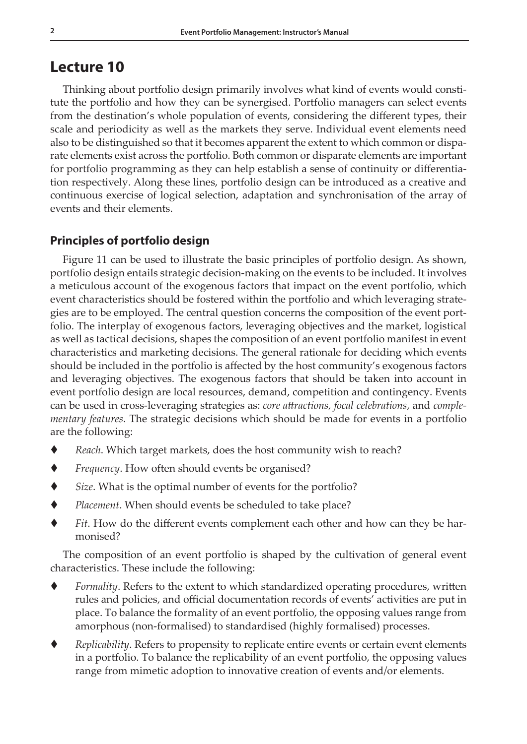# **Lecture 10**

Thinking about portfolio design primarily involves what kind of events would constitute the portfolio and how they can be synergised. Portfolio managers can select events from the destination's whole population of events, considering the different types, their scale and periodicity as well as the markets they serve. Individual event elements need also to be distinguished so that it becomes apparent the extent to which common or disparate elements exist across the portfolio. Both common or disparate elements are important for portfolio programming as they can help establish a sense of continuity or differentiation respectively. Along these lines, portfolio design can be introduced as a creative and continuous exercise of logical selection, adaptation and synchronisation of the array of events and their elements.

# **Principles of portfolio design**

Figure 11 can be used to illustrate the basic principles of portfolio design. As shown, portfolio design entails strategic decision-making on the events to be included. It involves a meticulous account of the exogenous factors that impact on the event portfolio, which event characteristics should be fostered within the portfolio and which leveraging strategies are to be employed. The central question concerns the composition of the event portfolio. The interplay of exogenous factors, leveraging objectives and the market, logistical as well as tactical decisions, shapes the composition of an event portfolio manifest in event characteristics and marketing decisions. The general rationale for deciding which events should be included in the portfolio is affected by the host community's exogenous factors and leveraging objectives. The exogenous factors that should be taken into account in event portfolio design are local resources, demand, competition and contingency. Events can be used in cross-leveraging strategies as: *core attractions, focal celebrations*, and *complementary features*. The strategic decisions which should be made for events in a portfolio are the following:

- *Reach*. Which target markets, does the host community wish to reach?
- *Frequency*. How often should events be organised?
- *Size*. What is the optimal number of events for the portfolio?
- *Placement*. When should events be scheduled to take place?
- *Fit*. How do the different events complement each other and how can they be harmonised?

The composition of an event portfolio is shaped by the cultivation of general event characteristics. These include the following:

- *Formality*. Refers to the extent to which standardized operating procedures, written rules and policies, and official documentation records of events' activities are put in place. To balance the formality of an event portfolio, the opposing values range from amorphous (non-formalised) to standardised (highly formalised) processes.
- *Replicability*. Refers to propensity to replicate entire events or certain event elements in a portfolio. To balance the replicability of an event portfolio, the opposing values range from mimetic adoption to innovative creation of events and/or elements.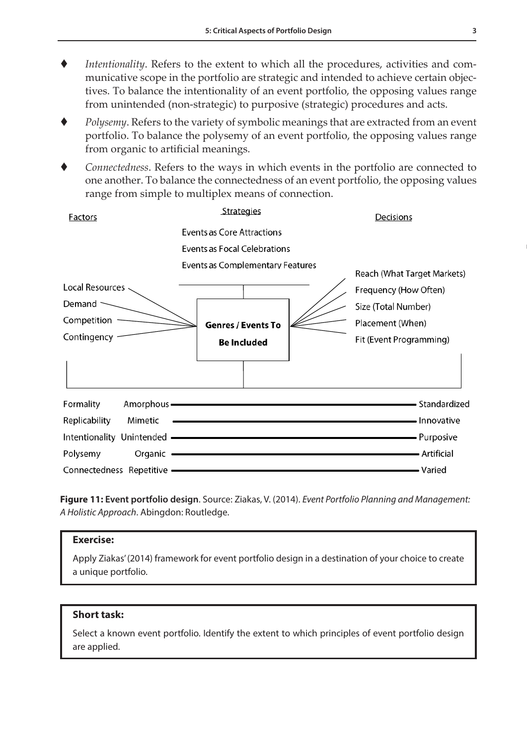- *Intentionality*. Refers to the extent to which all the procedures, activities and communicative scope in the portfolio are strategic and intended to achieve certain objectives. To balance the intentionality of an event portfolio, the opposing values range from unintended (non-strategic) to purposive (strategic) procedures and acts.
- *Polysemy*. Refers to the variety of symbolic meanings that are extracted from an event portfolio. To balance the polysemy of an event portfolio, the opposing values range from organic to artificial meanings.
- *Connectedness*. Refers to the ways in which events in the portfolio are connected to one another. To balance the connectedness of an event portfolio, the opposing values range from simple to multiplex means of connection.

| <b>Factors</b>             | <b>Strategies</b>                                                                                                                                                                                                                   | Decisions                               |
|----------------------------|-------------------------------------------------------------------------------------------------------------------------------------------------------------------------------------------------------------------------------------|-----------------------------------------|
|                            | <b>Events as Core Attractions</b>                                                                                                                                                                                                   |                                         |
|                            | Events as Focal Celebrations                                                                                                                                                                                                        |                                         |
| Local Resources            | <b>Events as Complementary Features</b>                                                                                                                                                                                             | Reach (What Target Markets)             |
| Demand $\sim$              |                                                                                                                                                                                                                                     | Frequency (How Often)                   |
| Competition -              | <b>Genres / Events To</b>                                                                                                                                                                                                           | Size (Total Number)<br>Placement (When) |
| Contingency -              | <b>Be Included</b>                                                                                                                                                                                                                  | Fit (Event Programming)                 |
|                            |                                                                                                                                                                                                                                     |                                         |
| Formality<br>Amorphous —   | Standardized                                                                                                                                                                                                                        |                                         |
| Replicability<br>Mimetic   | <b>Example 2018</b> The Contract of Contract Contract Contract Contract Contract Contract Contract Contract Contract Contract Contract Contract Contract Contract Contract Contract Contract Contract Contract Contract Contract Co |                                         |
|                            | Intentionality Unintended <b>All According to the Contract of Contract Contract of Contract Contract Contract Orient</b>                                                                                                            |                                         |
| Polysemy                   | Organic <b>Commission</b> Commission Commission Commission Commission                                                                                                                                                               | - Artificial                            |
| Connectedness Repetitive — |                                                                                                                                                                                                                                     | $\blacksquare$ Varied                   |

**Figure 11: Event portfolio design**. Source: Ziakas, V. (2014). *Event Portfolio Planning and Management: A Holistic Approach*. Abingdon: Routledge.

#### **Exercise:**

Apply Ziakas' (2014) framework for event portfolio design in a destination of your choice to create a unique portfolio.

# **Short task:**

Select a known event portfolio. Identify the extent to which principles of event portfolio design are applied.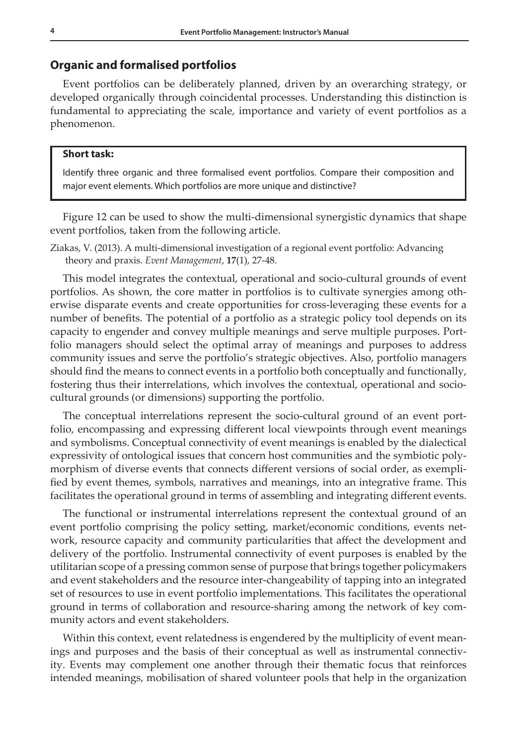# **Organic and formalised portfolios**

Event portfolios can be deliberately planned, driven by an overarching strategy, or developed organically through coincidental processes. Understanding this distinction is fundamental to appreciating the scale, importance and variety of event portfolios as a phenomenon.

#### **Short task:**

Identify three organic and three formalised event portfolios. Compare their composition and major event elements. Which portfolios are more unique and distinctive?

Figure 12 can be used to show the multi-dimensional synergistic dynamics that shape event portfolios, taken from the following article.

Ziakas, V. (2013). A multi-dimensional investigation of a regional event portfolio: Advancing theory and praxis. *Event Management*, **17**(1), 27-48.

This model integrates the contextual, operational and socio-cultural grounds of event portfolios. As shown, the core matter in portfolios is to cultivate synergies among otherwise disparate events and create opportunities for cross-leveraging these events for a number of benefits. The potential of a portfolio as a strategic policy tool depends on its capacity to engender and convey multiple meanings and serve multiple purposes. Portfolio managers should select the optimal array of meanings and purposes to address community issues and serve the portfolio's strategic objectives. Also, portfolio managers should find the means to connect events in a portfolio both conceptually and functionally, fostering thus their interrelations, which involves the contextual, operational and sociocultural grounds (or dimensions) supporting the portfolio.

The conceptual interrelations represent the socio-cultural ground of an event portfolio, encompassing and expressing different local viewpoints through event meanings and symbolisms. Conceptual connectivity of event meanings is enabled by the dialectical expressivity of ontological issues that concern host communities and the symbiotic polymorphism of diverse events that connects different versions of social order, as exemplified by event themes, symbols, narratives and meanings, into an integrative frame. This facilitates the operational ground in terms of assembling and integrating different events.

The functional or instrumental interrelations represent the contextual ground of an event portfolio comprising the policy setting, market/economic conditions, events network, resource capacity and community particularities that affect the development and delivery of the portfolio. Instrumental connectivity of event purposes is enabled by the utilitarian scope of a pressing common sense of purpose that brings together policymakers and event stakeholders and the resource inter-changeability of tapping into an integrated set of resources to use in event portfolio implementations. This facilitates the operational ground in terms of collaboration and resource-sharing among the network of key community actors and event stakeholders.

Within this context, event relatedness is engendered by the multiplicity of event meanings and purposes and the basis of their conceptual as well as instrumental connectivity. Events may complement one another through their thematic focus that reinforces intended meanings, mobilisation of shared volunteer pools that help in the organization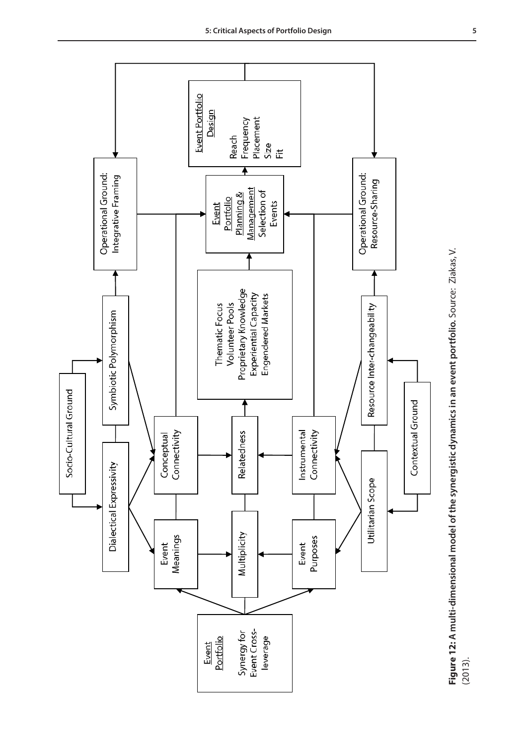

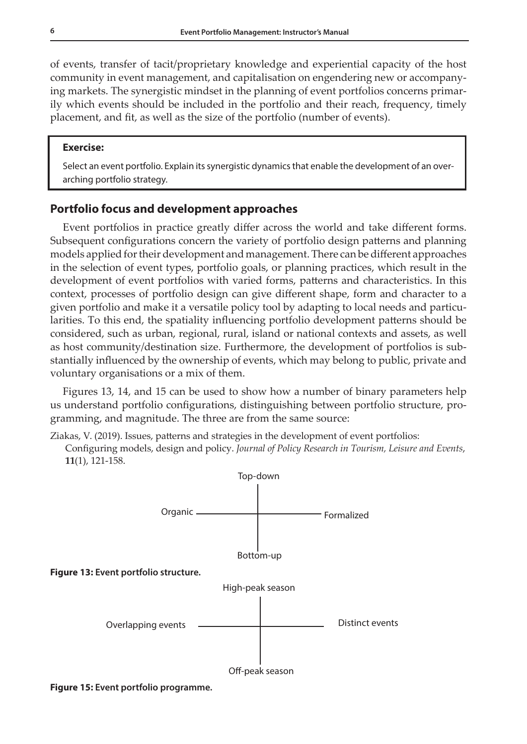of events, transfer of tacit/proprietary knowledge and experiential capacity of the host community in event management, and capitalisation on engendering new or accompanying markets. The synergistic mindset in the planning of event portfolios concerns primarily which events should be included in the portfolio and their reach, frequency, timely placement, and fit, as well as the size of the portfolio (number of events).

# **Exercise:**

Select an event portfolio. Explain its synergistic dynamics that enable the development of an overarching portfolio strategy.

# **Portfolio focus and development approaches**

Event portfolios in practice greatly differ across the world and take different forms. Subsequent configurations concern the variety of portfolio design patterns and planning models applied for their development and management. There can be different approaches in the selection of event types, portfolio goals, or planning practices, which result in the development of event portfolios with varied forms, patterns and characteristics. In this context, processes of portfolio design can give different shape, form and character to a given portfolio and make it a versatile policy tool by adapting to local needs and particularities. To this end, the spatiality influencing portfolio development patterns should be considered, such as urban, regional, rural, island or national contexts and assets, as well as host community/destination size. Furthermore, the development of portfolios is substantially influenced by the ownership of events, which may belong to public, private and voluntary organisations or a mix of them.

Figures 13, 14, and 15 can be used to show how a number of binary parameters help us understand portfolio configurations, distinguishing between portfolio structure, programming, and magnitude. The three are from the same source:

Ziakas, V. (2019). Issues, patterns and strategies in the development of event portfolios: Configuring models, design and policy. *Journal of Policy Research in Tourism, Leisure and Events*, **11**(1), 121-158.



**Figure 15: Event portfolio programme.**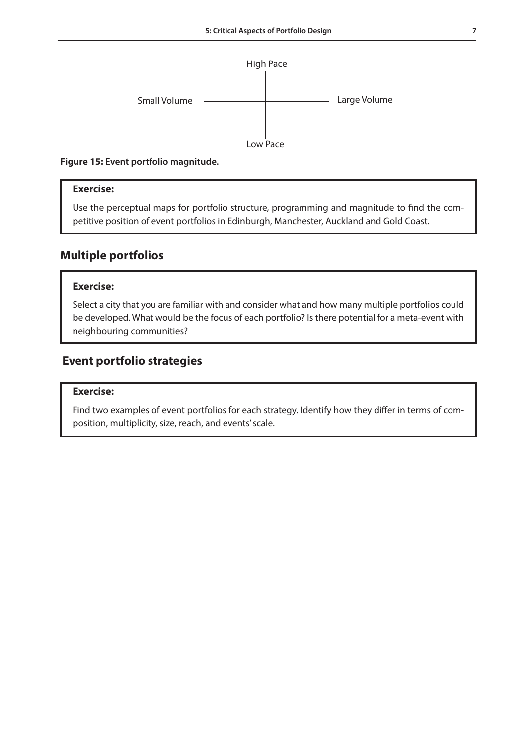

**Figure 15: Event portfolio magnitude.** 

# **Exercise:**

Use the perceptual maps for portfolio structure, programming and magnitude to find the competitive position of event portfolios in Edinburgh, Manchester, Auckland and Gold Coast.

# **Multiple portfolios**

# **Exercise:**

Select a city that you are familiar with and consider what and how many multiple portfolios could be developed. What would be the focus of each portfolio? Is there potential for a meta-event with neighbouring communities?

# **Event portfolio strategies**

### **Exercise:**

Find two examples of event portfolios for each strategy. Identify how they differ in terms of composition, multiplicity, size, reach, and events' scale.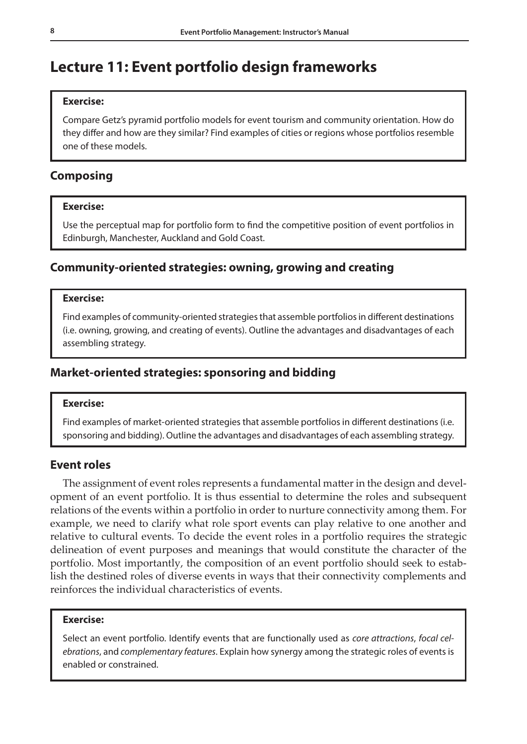# **Lecture 11: Event portfolio design frameworks**

# **Exercise:**

Compare Getz's pyramid portfolio models for event tourism and community orientation. How do they differ and how are they similar? Find examples of cities or regions whose portfolios resemble one of these models.

# **Composing**

# **Exercise:**

Use the perceptual map for portfolio form to find the competitive position of event portfolios in Edinburgh, Manchester, Auckland and Gold Coast.

# **Community-oriented strategies: owning, growing and creating**

# **Exercise:**

Find examples of community-oriented strategies that assemble portfolios in different destinations (i.e. owning, growing, and creating of events). Outline the advantages and disadvantages of each assembling strategy.

# **Market-oriented strategies: sponsoring and bidding**

### **Exercise:**

Find examples of market-oriented strategies that assemble portfolios in different destinations (i.e. sponsoring and bidding). Outline the advantages and disadvantages of each assembling strategy.

# **Event roles**

The assignment of event roles represents a fundamental matter in the design and development of an event portfolio. It is thus essential to determine the roles and subsequent relations of the events within a portfolio in order to nurture connectivity among them. For example, we need to clarify what role sport events can play relative to one another and relative to cultural events. To decide the event roles in a portfolio requires the strategic delineation of event purposes and meanings that would constitute the character of the portfolio. Most importantly, the composition of an event portfolio should seek to establish the destined roles of diverse events in ways that their connectivity complements and reinforces the individual characteristics of events.

#### **Exercise:**

Select an event portfolio. Identify events that are functionally used as *core attractions*, *focal celebrations*, and *complementary features*. Explain how synergy among the strategic roles of events is enabled or constrained.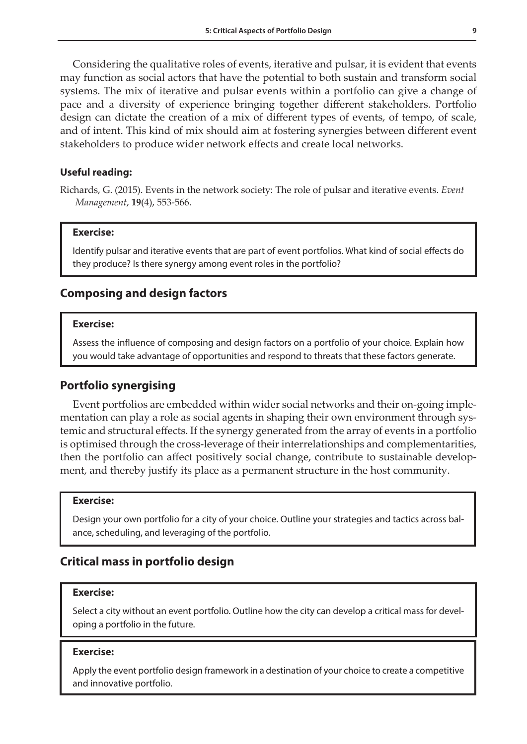Considering the qualitative roles of events, iterative and pulsar, it is evident that events may function as social actors that have the potential to both sustain and transform social systems. The mix of iterative and pulsar events within a portfolio can give a change of pace and a diversity of experience bringing together different stakeholders. Portfolio design can dictate the creation of a mix of different types of events, of tempo, of scale, and of intent. This kind of mix should aim at fostering synergies between different event stakeholders to produce wider network effects and create local networks.

# **Useful reading:**

Richards, G. (2015). Events in the network society: The role of pulsar and iterative events. *Event Management*, **19**(4), 553-566.

#### **Exercise:**

Identify pulsar and iterative events that are part of event portfolios. What kind of social effects do they produce? Is there synergy among event roles in the portfolio?

# **Composing and design factors**

#### **Exercise:**

Assess the influence of composing and design factors on a portfolio of your choice. Explain how you would take advantage of opportunities and respond to threats that these factors generate.

# **Portfolio synergising**

Event portfolios are embedded within wider social networks and their on-going implementation can play a role as social agents in shaping their own environment through systemic and structural effects. If the synergy generated from the array of events in a portfolio is optimised through the cross-leverage of their interrelationships and complementarities, then the portfolio can affect positively social change, contribute to sustainable development, and thereby justify its place as a permanent structure in the host community.

# **Exercise:**

Design your own portfolio for a city of your choice. Outline your strategies and tactics across balance, scheduling, and leveraging of the portfolio.

# **Critical mass in portfolio design**

#### **Exercise:**

Select a city without an event portfolio. Outline how the city can develop a critical mass for developing a portfolio in the future.

#### **Exercise:**

Apply the event portfolio design framework in a destination of your choice to create a competitive and innovative portfolio.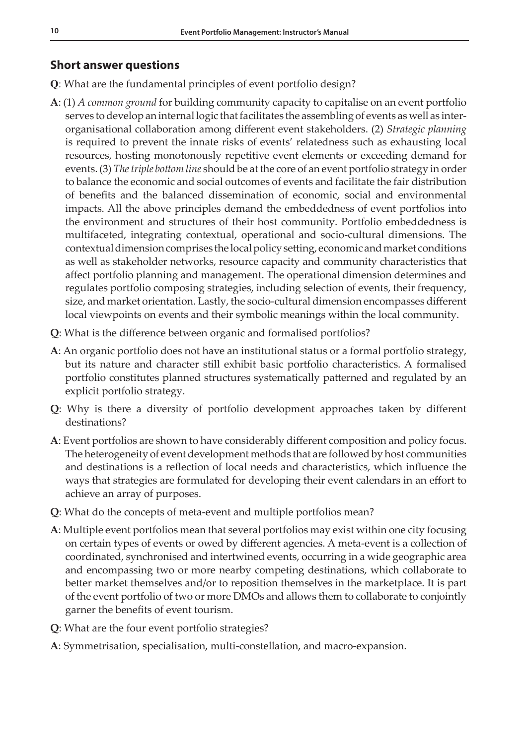# **Short answer questions**

- **Q**: What are the fundamental principles of event portfolio design?
- **A**: (1) *A common ground* for building community capacity to capitalise on an event portfolio serves to develop an internal logic that facilitates the assembling of events as well as interorganisational collaboration among different event stakeholders. (2) *Strategic planning* is required to prevent the innate risks of events' relatedness such as exhausting local resources, hosting monotonously repetitive event elements or exceeding demand for events. (3) *The triple bottom line* should be at the core of an event portfolio strategy in order to balance the economic and social outcomes of events and facilitate the fair distribution of benefits and the balanced dissemination of economic, social and environmental impacts. All the above principles demand the embeddedness of event portfolios into the environment and structures of their host community. Portfolio embeddedness is multifaceted, integrating contextual, operational and socio-cultural dimensions. The contextual dimension comprises the local policy setting, economic and market conditions as well as stakeholder networks, resource capacity and community characteristics that affect portfolio planning and management. The operational dimension determines and regulates portfolio composing strategies, including selection of events, their frequency, size, and market orientation. Lastly, the socio-cultural dimension encompasses different local viewpoints on events and their symbolic meanings within the local community.
- **Q**: What is the difference between organic and formalised portfolios?
- **A**: An organic portfolio does not have an institutional status or a formal portfolio strategy, but its nature and character still exhibit basic portfolio characteristics. A formalised portfolio constitutes planned structures systematically patterned and regulated by an explicit portfolio strategy.
- **Q**: Why is there a diversity of portfolio development approaches taken by different destinations?
- **A**: Event portfolios are shown to have considerably different composition and policy focus. The heterogeneity of event development methods that are followed by host communities and destinations is a reflection of local needs and characteristics, which influence the ways that strategies are formulated for developing their event calendars in an effort to achieve an array of purposes.
- **Q**: What do the concepts of meta-event and multiple portfolios mean?
- **A**: Multiple event portfolios mean that several portfolios may exist within one city focusing on certain types of events or owed by different agencies. A meta-event is a collection of coordinated, synchronised and intertwined events, occurring in a wide geographic area and encompassing two or more nearby competing destinations, which collaborate to better market themselves and/or to reposition themselves in the marketplace. It is part of the event portfolio of two or more DMOs and allows them to collaborate to conjointly garner the benefits of event tourism.
- **Q**: What are the four event portfolio strategies?
- **A**: Symmetrisation, specialisation, multi-constellation, and macro-expansion.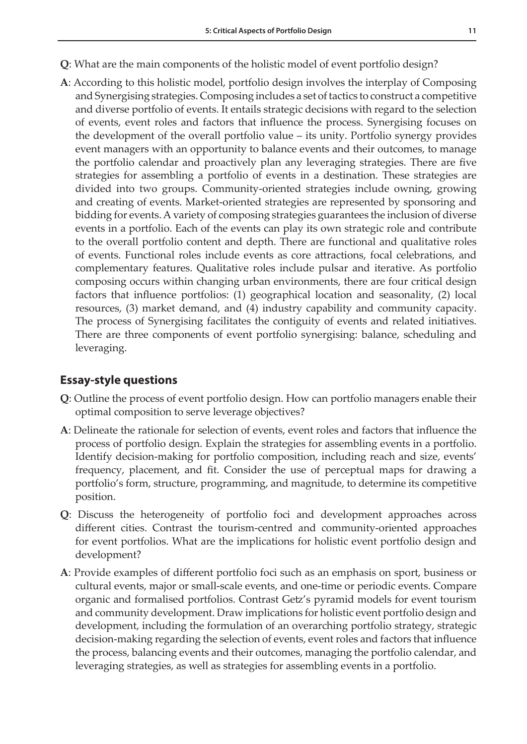- **Q**: What are the main components of the holistic model of event portfolio design?
- **A**: According to this holistic model, portfolio design involves the interplay of Composing and Synergising strategies. Composing includes a set of tactics to construct a competitive and diverse portfolio of events. It entails strategic decisions with regard to the selection of events, event roles and factors that influence the process. Synergising focuses on the development of the overall portfolio value – its unity. Portfolio synergy provides event managers with an opportunity to balance events and their outcomes, to manage the portfolio calendar and proactively plan any leveraging strategies. There are five strategies for assembling a portfolio of events in a destination. These strategies are divided into two groups. Community-oriented strategies include owning, growing and creating of events. Market-oriented strategies are represented by sponsoring and bidding for events. A variety of composing strategies guarantees the inclusion of diverse events in a portfolio. Each of the events can play its own strategic role and contribute to the overall portfolio content and depth. There are functional and qualitative roles of events. Functional roles include events as core attractions, focal celebrations, and complementary features. Qualitative roles include pulsar and iterative. As portfolio composing occurs within changing urban environments, there are four critical design factors that influence portfolios: (1) geographical location and seasonality, (2) local resources, (3) market demand, and (4) industry capability and community capacity. The process of Synergising facilitates the contiguity of events and related initiatives. There are three components of event portfolio synergising: balance, scheduling and leveraging.

# **Essay-style questions**

- **Q**: Outline the process of event portfolio design. How can portfolio managers enable their optimal composition to serve leverage objectives?
- **A**: Delineate the rationale for selection of events, event roles and factors that influence the process of portfolio design. Explain the strategies for assembling events in a portfolio. Identify decision-making for portfolio composition, including reach and size, events' frequency, placement, and fit. Consider the use of perceptual maps for drawing a portfolio's form, structure, programming, and magnitude, to determine its competitive position.
- **Q**: Discuss the heterogeneity of portfolio foci and development approaches across different cities. Contrast the tourism-centred and community-oriented approaches for event portfolios. What are the implications for holistic event portfolio design and development?
- **A**: Provide examples of different portfolio foci such as an emphasis on sport, business or cultural events, major or small-scale events, and one-time or periodic events. Compare organic and formalised portfolios. Contrast Getz's pyramid models for event tourism and community development. Draw implications for holistic event portfolio design and development, including the formulation of an overarching portfolio strategy, strategic decision-making regarding the selection of events, event roles and factors that influence the process, balancing events and their outcomes, managing the portfolio calendar, and leveraging strategies, as well as strategies for assembling events in a portfolio.